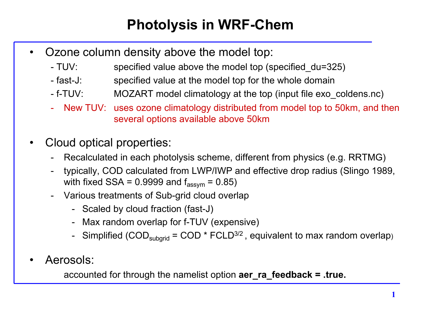## **Photolysis in WRF-Chem**

- Ozone column density above the model top:
	- TUV: specified value above the model top (specified du=325)
	- fast-J: specified value at the model top for the whole domain
	- f-TUV: MOZART model climatology at the top (input file exo\_coldens.nc)
	- New TUV: uses ozone climatology distributed from model top to 50km, and then several options available above 50km
- Cloud optical properties:
	- Recalculated in each photolysis scheme, different from physics (e.g. RRTMG)
	- typically, COD calculated from LWP/IWP and effective drop radius (Slingo 1989, with fixed  $SSA = 0.9999$  and  $f_{assym} = 0.85$ )
	- Various treatments of Sub-grid cloud overlap
		- Scaled by cloud fraction (fast-J)
		- Max random overlap for f-TUV (expensive)
		- Simplified (COD<sub>subgrid</sub> = COD \* FCLD<sup>3/2</sup>, equivalent to max random overlap)
- Aerosols:

accounted for through the namelist option **aer\_ra\_feedback = .true.**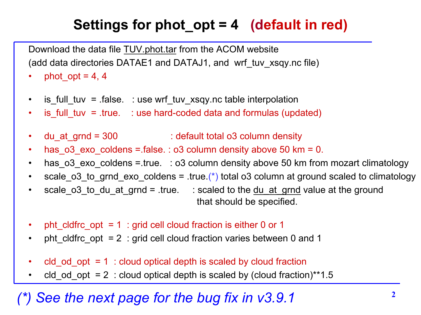## **Settings for phot\_opt = 4 (default in red)**

Download the data file TUV.phot.tar from the ACOM website (add data directories DATAE1 and DATAJ1, and wrf\_tuv\_xsqy.nc file)

- phot opt = 4, 4
- is full tuv =  $f$ alse. : use wrf tuv xsqy.nc table interpolation
- is full tuv = .true. : use hard-coded data and formulas (updated)
- du at grnd =  $300$  : default total o3 column density
- has  $o3$  exo coldens =.false. :  $o3$  column density above 50 km = 0.
- has o3 exo\_coldens =.true. : o3 column density above 50 km from mozart climatology
- scale o3 to grnd exo coldens = .true.(\*) total o3 column at ground scaled to climatology
- scale  $\circ$ 3 to du at grnd = .true. : scaled to the du at grnd value at the ground that should be specified.
- pht\_cldfrc\_opt = 1 : grid cell cloud fraction is either 0 or 1
- pht\_cldfrc\_opt = 2 : grid cell cloud fraction varies between 0 and 1
- $\text{cld}$  od  $\text{opt} = 1$  : cloud optical depth is scaled by cloud fraction
- cld od opt = 2 : cloud optical depth is scaled by (cloud fraction)\*\*1.5

## **<sup>2</sup>** *(\*) See the next page for the bug fix in v3.9.1*